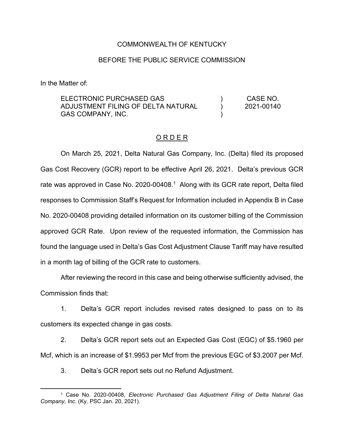#### COMMONWEALTH OF KENTUCKY

#### BEFORE THE PUBLIC SERVICE COMMISSION

In the Matter of:

ELECTRONIC PURCHASED GAS ADJUSTMENT FILING OF DELTA NATURAL GAS COMPANY, INC.  $\lambda$ ) ) CASE NO. 2021-00140

#### O R D E R

On March 25, 2021, Delta Natural Gas Company, Inc. (Delta) filed its proposed Gas Cost Recovery (GCR) report to be effective April 26, 2021. Delta's previous GCR rate was approved in Case No. 2020-00408.<sup>1</sup> Along with its GCR rate report, Delta filed responses to Commission Staff's Request for Information included in Appendix B in Case No. 2020-00408 providing detailed information on its customer billing of the Commission approved GCR Rate. Upon review of the requested information, the Commission has found the language used in Delta's Gas Cost Adjustment Clause Tariff may have resulted in a month lag of billing of the GCR rate to customers.

After reviewing the record in this case and being otherwise sufficiently advised, the Commission finds that:

1. Delta's GCR report includes revised rates designed to pass on to its customers its expected change in gas costs.

2. Delta's GCR report sets out an Expected Gas Cost (EGC) of \$5.1960 per Mcf, which is an increase of \$1.9953 per Mcf from the previous EGC of \$3.2007 per Mcf.

3. Delta's GCR report sets out no Refund Adjustment.

<sup>1</sup> Case No. 2020-00408, *Electronic Purchased Gas Adjustment Filing of Delta Natural Gas Company, Inc.* (Ky. PSC Jan. 20, 2021).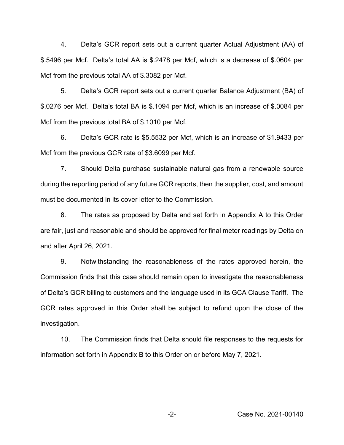4. Delta's GCR report sets out a current quarter Actual Adjustment (AA) of \$.5496 per Mcf. Delta's total AA is \$.2478 per Mcf, which is a decrease of \$.0604 per Mcf from the previous total AA of \$.3082 per Mcf.

5. Delta's GCR report sets out a current quarter Balance Adjustment (BA) of \$.0276 per Mcf. Delta's total BA is \$.1094 per Mcf, which is an increase of \$.0084 per Mcf from the previous total BA of \$.1010 per Mcf.

6. Delta's GCR rate is \$5.5532 per Mcf, which is an increase of \$1.9433 per Mcf from the previous GCR rate of \$3.6099 per Mcf.

7. Should Delta purchase sustainable natural gas from a renewable source during the reporting period of any future GCR reports, then the supplier, cost, and amount must be documented in its cover letter to the Commission.

8. The rates as proposed by Delta and set forth in Appendix A to this Order are fair, just and reasonable and should be approved for final meter readings by Delta on and after April 26, 2021.

9. Notwithstanding the reasonableness of the rates approved herein, the Commission finds that this case should remain open to investigate the reasonableness of Delta's GCR billing to customers and the language used in its GCA Clause Tariff. The GCR rates approved in this Order shall be subject to refund upon the close of the investigation.

10. The Commission finds that Delta should file responses to the requests for information set forth in Appendix B to this Order on or before May 7, 2021.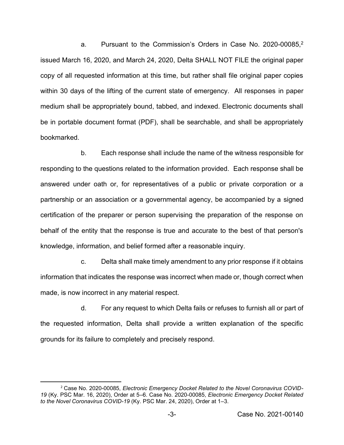a. Pursuant to the Commission's Orders in Case No. 2020-00085, 2 issued March 16, 2020, and March 24, 2020, Delta SHALL NOT FILE the original paper copy of all requested information at this time, but rather shall file original paper copies within 30 days of the lifting of the current state of emergency. All responses in paper medium shall be appropriately bound, tabbed, and indexed. Electronic documents shall be in portable document format (PDF), shall be searchable, and shall be appropriately bookmarked.

b. Each response shall include the name of the witness responsible for responding to the questions related to the information provided. Each response shall be answered under oath or, for representatives of a public or private corporation or a partnership or an association or a governmental agency, be accompanied by a signed certification of the preparer or person supervising the preparation of the response on behalf of the entity that the response is true and accurate to the best of that person's knowledge, information, and belief formed after a reasonable inquiry.

c. Delta shall make timely amendment to any prior response if it obtains information that indicates the response was incorrect when made or, though correct when made, is now incorrect in any material respect.

d. For any request to which Delta fails or refuses to furnish all or part of the requested information, Delta shall provide a written explanation of the specific grounds for its failure to completely and precisely respond.

<sup>2</sup> Case No. 2020-00085, *Electronic Emergency Docket Related to the Novel Coronavirus COVID-19* (Ky. PSC Mar. 16, 2020), Order at 5–6. Case No. 2020-00085, *Electronic Emergency Docket Related to the Novel Coronavirus COVID-19* (Ky. PSC Mar. 24, 2020), Order at 1–3.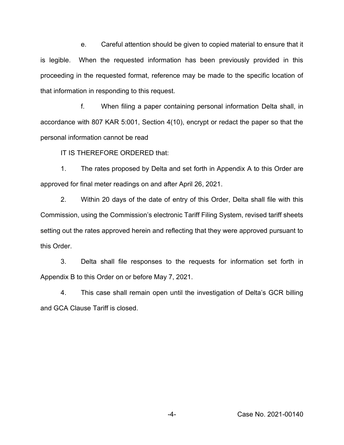e. Careful attention should be given to copied material to ensure that it is legible. When the requested information has been previously provided in this proceeding in the requested format, reference may be made to the specific location of that information in responding to this request.

f. When filing a paper containing personal information Delta shall, in accordance with 807 KAR 5:001, Section 4(10), encrypt or redact the paper so that the personal information cannot be read

IT IS THEREFORE ORDERED that:

1. The rates proposed by Delta and set forth in Appendix A to this Order are approved for final meter readings on and after April 26, 2021.

2. Within 20 days of the date of entry of this Order, Delta shall file with this Commission, using the Commission's electronic Tariff Filing System, revised tariff sheets setting out the rates approved herein and reflecting that they were approved pursuant to this Order.

3. Delta shall file responses to the requests for information set forth in Appendix B to this Order on or before May 7, 2021.

4. This case shall remain open until the investigation of Delta's GCR billing and GCA Clause Tariff is closed.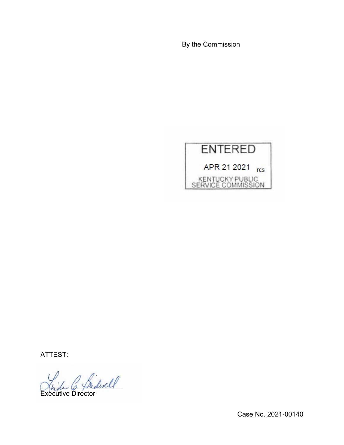By the Commission



ATTEST:

2 Sidwell

Executive Director

Case No. 2021-00140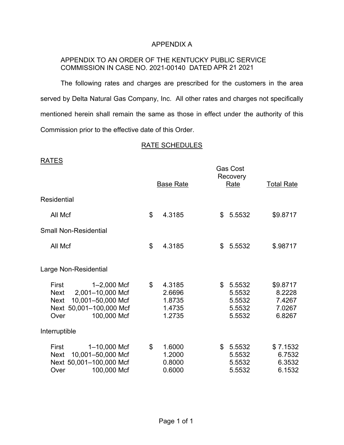## APPENDIX A

## APPENDIX TO AN ORDER OF THE KENTUCKY PUBLIC SERVICE COMMISSION IN CASE NO. 2021-00140 DATED APR 21 2021

The following rates and charges are prescribed for the customers in the area served by Delta Natural Gas Company, Inc. All other rates and charges not specifically mentioned herein shall remain the same as those in effect under the authority of this Commission prior to the effective date of this Order.

## RATE SCHEDULES

## RATES

|                                                                                                                                               | <b>Base Rate</b> |                                                |              | <b>Gas Cost</b><br>Recovery<br>Rate            | <b>Total Rate</b>                                |
|-----------------------------------------------------------------------------------------------------------------------------------------------|------------------|------------------------------------------------|--------------|------------------------------------------------|--------------------------------------------------|
| Residential                                                                                                                                   |                  |                                                |              |                                                |                                                  |
| All Mcf                                                                                                                                       | \$               | 4.3185                                         | \$           | 5.5532                                         | \$9.8717                                         |
| <b>Small Non-Residential</b>                                                                                                                  |                  |                                                |              |                                                |                                                  |
| All Mcf                                                                                                                                       | \$               | 4.3185                                         | \$           | 5.5532                                         | \$.98717                                         |
| Large Non-Residential                                                                                                                         |                  |                                                |              |                                                |                                                  |
| First<br>1-2,000 Mcf<br>2,001-10,000 Mcf<br><b>Next</b><br>10,001-50,000 Mcf<br><b>Next</b><br>Next 50,001-100,000 Mcf<br>100,000 Mcf<br>Over | $\mathbb{S}$     | 4.3185<br>2.6696<br>1.8735<br>1.4735<br>1.2735 | \$           | 5.5532<br>5.5532<br>5.5532<br>5.5532<br>5.5532 | \$9.8717<br>8.2228<br>7.4267<br>7.0267<br>6.8267 |
| Interruptible                                                                                                                                 |                  |                                                |              |                                                |                                                  |
| $1 - 10,000$ Mcf<br>First<br>10,001-50,000 Mcf<br><b>Next</b><br>Next 50,001-100,000 Mcf<br>100,000 Mcf<br>Over                               | \$               | 1.6000<br>1.2000<br>0.8000<br>0.6000           | $\mathbb{S}$ | 5.5532<br>5.5532<br>5.5532<br>5.5532           | \$7.1532<br>6.7532<br>6.3532<br>6.1532           |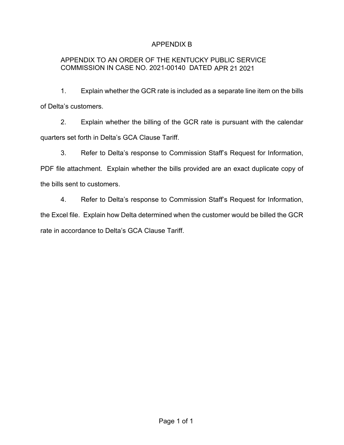# APPENDIX B

# APPENDIX TO AN ORDER OF THE KENTUCKY PUBLIC SERVICE COMMISSION IN CASE NO. 2021-00140 DATED APR 21 2021

1. Explain whether the GCR rate is included as a separate line item on the bills of Delta's customers.

2. Explain whether the billing of the GCR rate is pursuant with the calendar quarters set forth in Delta's GCA Clause Tariff.

3. Refer to Delta's response to Commission Staff's Request for Information, PDF file attachment. Explain whether the bills provided are an exact duplicate copy of

the bills sent to customers.

4. Refer to Delta's response to Commission Staff's Request for Information, the Excel file. Explain how Delta determined when the customer would be billed the GCR rate in accordance to Delta's GCA Clause Tariff.